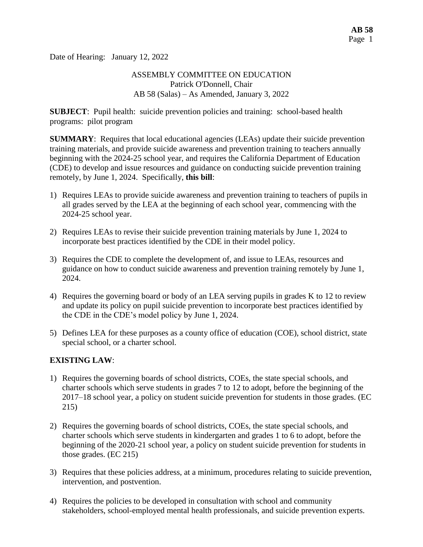Date of Hearing: January 12, 2022

#### ASSEMBLY COMMITTEE ON EDUCATION Patrick O'Donnell, Chair AB 58 (Salas) – As Amended, January 3, 2022

**SUBJECT**: Pupil health: suicide prevention policies and training: school-based health programs: pilot program

**SUMMARY**: Requires that local educational agencies (LEAs) update their suicide prevention training materials, and provide suicide awareness and prevention training to teachers annually beginning with the 2024-25 school year, and requires the California Department of Education (CDE) to develop and issue resources and guidance on conducting suicide prevention training remotely, by June 1, 2024. Specifically, **this bill**:

- 1) Requires LEAs to provide suicide awareness and prevention training to teachers of pupils in all grades served by the LEA at the beginning of each school year, commencing with the 2024-25 school year.
- 2) Requires LEAs to revise their suicide prevention training materials by June 1, 2024 to incorporate best practices identified by the CDE in their model policy.
- 3) Requires the CDE to complete the development of, and issue to LEAs, resources and guidance on how to conduct suicide awareness and prevention training remotely by June 1, 2024.
- 4) Requires the governing board or body of an LEA serving pupils in grades K to 12 to review and update its policy on pupil suicide prevention to incorporate best practices identified by the CDE in the CDE's model policy by June 1, 2024.
- 5) Defines LEA for these purposes as a county office of education (COE), school district, state special school, or a charter school.

# **EXISTING LAW**:

- 1) Requires the governing boards of school districts, COEs, the state special schools, and charter schools which serve students in grades 7 to 12 to adopt, before the beginning of the 2017–18 school year, a policy on student suicide prevention for students in those grades. (EC 215)
- 2) Requires the governing boards of school districts, COEs, the state special schools, and charter schools which serve students in kindergarten and grades 1 to 6 to adopt, before the beginning of the 2020-21 school year, a policy on student suicide prevention for students in those grades. (EC 215)
- 3) Requires that these policies address, at a minimum, procedures relating to suicide prevention, intervention, and postvention.
- 4) Requires the policies to be developed in consultation with school and community stakeholders, school-employed mental health professionals, and suicide prevention experts.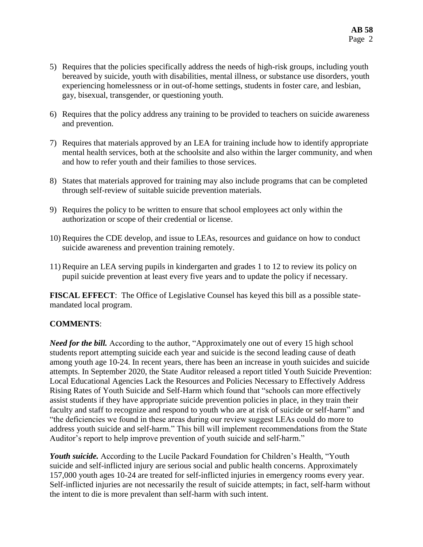- 5) Requires that the policies specifically address the needs of high-risk groups, including youth bereaved by suicide, youth with disabilities, mental illness, or substance use disorders, youth experiencing homelessness or in out-of-home settings, students in foster care, and lesbian, gay, bisexual, transgender, or questioning youth.
- 6) Requires that the policy address any training to be provided to teachers on suicide awareness and prevention.
- 7) Requires that materials approved by an LEA for training include how to identify appropriate mental health services, both at the schoolsite and also within the larger community, and when and how to refer youth and their families to those services.
- 8) States that materials approved for training may also include programs that can be completed through self-review of suitable suicide prevention materials.
- 9) Requires the policy to be written to ensure that school employees act only within the authorization or scope of their credential or license.
- 10) Requires the CDE develop, and issue to LEAs, resources and guidance on how to conduct suicide awareness and prevention training remotely.
- 11) Require an LEA serving pupils in kindergarten and grades 1 to 12 to review its policy on pupil suicide prevention at least every five years and to update the policy if necessary.

**FISCAL EFFECT**: The Office of Legislative Counsel has keyed this bill as a possible statemandated local program.

# **COMMENTS**:

*Need for the bill.* According to the author, "Approximately one out of every 15 high school students report attempting suicide each year and suicide is the second leading cause of death among youth age 10-24. In recent years, there has been an increase in youth suicides and suicide attempts. In September 2020, the State Auditor released a report titled Youth Suicide Prevention: Local Educational Agencies Lack the Resources and Policies Necessary to Effectively Address Rising Rates of Youth Suicide and Self-Harm which found that "schools can more effectively assist students if they have appropriate suicide prevention policies in place, in they train their faculty and staff to recognize and respond to youth who are at risk of suicide or self-harm" and "the deficiencies we found in these areas during our review suggest LEAs could do more to address youth suicide and self-harm." This bill will implement recommendations from the State Auditor's report to help improve prevention of youth suicide and self-harm."

*Youth suicide.* According to the Lucile Packard Foundation for Children's Health, "Youth suicide and self-inflicted injury are serious social and public health concerns. Approximately 157,000 youth ages 10-24 are treated for self-inflicted injuries in emergency rooms every year. Self-inflicted injuries are not necessarily the result of suicide attempts; in fact, self-harm without the intent to die is more prevalent than self-harm with such intent.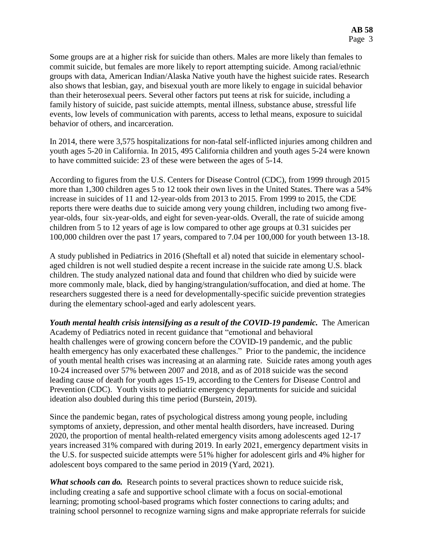Some groups are at a higher risk for suicide than others. Males are more likely than females to commit suicide, but females are more likely to report attempting suicide. Among racial/ethnic groups with data, American Indian/Alaska Native youth have the highest suicide rates. Research also shows that lesbian, gay, and bisexual youth are more likely to engage in suicidal behavior than their heterosexual peers. Several other factors put teens at risk for suicide, including a family history of suicide, past suicide attempts, mental illness, substance abuse, stressful life events, low levels of communication with parents, access to lethal means, exposure to suicidal behavior of others, and incarceration.

In 2014, there were 3,575 hospitalizations for non-fatal self-inflicted injuries among children and youth ages 5-20 in California. In 2015, 495 California children and youth ages 5-24 were known to have committed suicide: 23 of these were between the ages of 5-14.

According to figures from the U.S. Centers for Disease Control (CDC), from 1999 through 2015 more than 1,300 children ages 5 to 12 took their own lives in the United States. There was a 54% increase in suicides of 11 and 12-year-olds from 2013 to 2015. From 1999 to 2015, the CDE reports there were deaths due to suicide among very young children, including two among fiveyear-olds, four six-year-olds, and eight for seven-year-olds. Overall, the rate of suicide among children from 5 to 12 years of age is low compared to other age groups at 0.31 suicides per 100,000 children over the past 17 years, compared to 7.04 per 100,000 for youth between 13-18.

A study published in Pediatrics in 2016 (Sheftall et al) noted that suicide in elementary schoolaged children is not well studied despite a recent increase in the suicide rate among U.S. black children. The study analyzed national data and found that children who died by suicide were more commonly male, black, died by hanging/strangulation/suffocation, and died at home. The researchers suggested there is a need for developmentally-specific suicide prevention strategies during the elementary school-aged and early adolescent years.

*Youth mental health crisis intensifying as a result of the COVID-19 pandemic.* The American Academy of Pediatrics noted in recent guidance that "emotional and behavioral health challenges were of growing concern before the COVID-19 pandemic, and the public health emergency has only exacerbated these challenges." Prior to the pandemic, the incidence of youth mental health crises was increasing at an alarming rate. Suicide rates among youth ages 10-24 increased over 57% between 2007 and 2018, and as of 2018 suicide was the second leading cause of death for youth ages 15-19, according to the Centers for Disease Control and Prevention (CDC). Youth visits to pediatric emergency departments for suicide and suicidal ideation also doubled during this time period (Burstein, 2019).

Since the pandemic began, rates of psychological distress among young people, including symptoms of anxiety, depression, and other mental health disorders, have increased. During 2020, the proportion of mental health-related emergency visits among adolescents aged 12-17 years increased 31% compared with during 2019. In early 2021, emergency department visits in the U.S. for suspected suicide attempts were 51% higher for adolescent girls and 4% higher for adolescent boys compared to the same period in 2019 (Yard, 2021).

*What schools can do.* Research points to several practices shown to reduce suicide risk, including creating a safe and supportive school climate with a focus on social-emotional learning; promoting school-based programs which foster connections to caring adults; and training school personnel to recognize warning signs and make appropriate referrals for suicide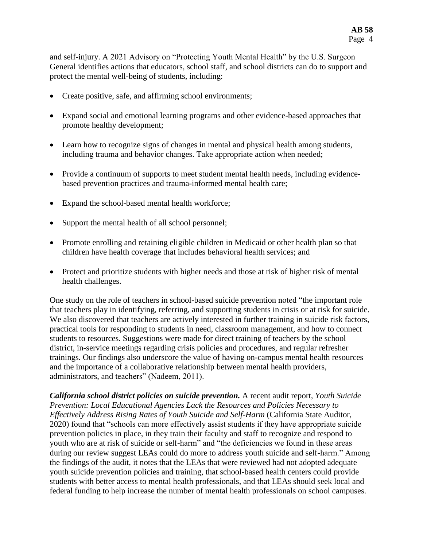and self-injury. A 2021 Advisory on "Protecting Youth Mental Health" by the U.S. Surgeon General identifies actions that educators, school staff, and school districts can do to support and protect the mental well-being of students, including:

- Create positive, safe, and affirming school environments;
- Expand social and emotional learning programs and other evidence-based approaches that promote healthy development;
- Learn how to recognize signs of changes in mental and physical health among students, including trauma and behavior changes. Take appropriate action when needed;
- Provide a continuum of supports to meet student mental health needs, including evidencebased prevention practices and trauma-informed mental health care;
- Expand the school-based mental health workforce;
- Support the mental health of all school personnel;
- Promote enrolling and retaining eligible children in Medicaid or other health plan so that children have health coverage that includes behavioral health services; and
- Protect and prioritize students with higher needs and those at risk of higher risk of mental health challenges.

One study on the role of teachers in school-based suicide prevention noted "the important role that teachers play in identifying, referring, and supporting students in crisis or at risk for suicide. We also discovered that teachers are actively interested in further training in suicide risk factors, practical tools for responding to students in need, classroom management, and how to connect students to resources. Suggestions were made for direct training of teachers by the school district, in-service meetings regarding crisis policies and procedures, and regular refresher trainings. Our findings also underscore the value of having on-campus mental health resources and the importance of a collaborative relationship between mental health providers, administrators, and teachers" (Nadeem, 2011).

*California school district policies on suicide prevention.* A recent audit report, *Youth Suicide Prevention: Local Educational Agencies Lack the Resources and Policies Necessary to Effectively Address Rising Rates of Youth Suicide and Self-Harm* (California State Auditor, 2020) found that "schools can more effectively assist students if they have appropriate suicide prevention policies in place, in they train their faculty and staff to recognize and respond to youth who are at risk of suicide or self-harm" and "the deficiencies we found in these areas during our review suggest LEAs could do more to address youth suicide and self-harm." Among the findings of the audit, it notes that the LEAs that were reviewed had not adopted adequate youth suicide prevention policies and training, that school-based health centers could provide students with better access to mental health professionals, and that LEAs should seek local and federal funding to help increase the number of mental health professionals on school campuses.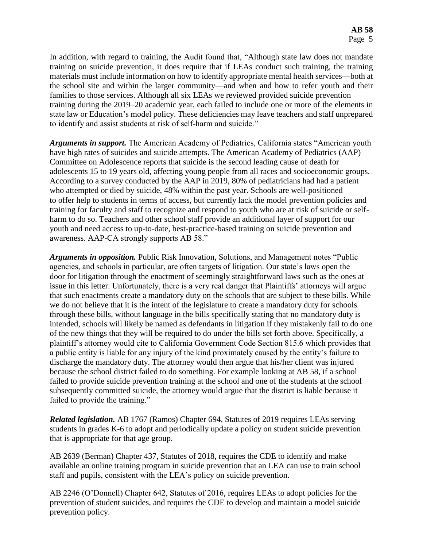In addition, with regard to training, the Audit found that, "Although state law does not mandate training on suicide prevention, it does require that if LEAs conduct such training, the training materials must include information on how to identify appropriate mental health services—both at the school site and within the larger community—and when and how to refer youth and their families to those services. Although all six LEAs we reviewed provided suicide prevention training during the 2019–20 academic year, each failed to include one or more of the elements in state law or Education's model policy. These deficiencies may leave teachers and staff unprepared to identify and assist students at risk of self-harm and suicide."

*Arguments in support.* The American Academy of Pediatrics, California states "American youth have high rates of suicides and suicide attempts. The American Academy of Pediatrics (AAP) Committee on Adolescence reports that suicide is the second leading cause of death for adolescents 15 to 19 years old, affecting young people from all races and socioeconomic groups. According to a survey conducted by the AAP in 2019, 80% of pediatricians had had a patient who attempted or died by suicide, 48% within the past year. Schools are well-positioned to offer help to students in terms of access, but currently lack the model prevention policies and training for faculty and staff to recognize and respond to youth who are at risk of suicide or selfharm to do so. Teachers and other school staff provide an additional layer of support for our youth and need access to up-to-date, best-practice-based training on suicide prevention and awareness. AAP-CA strongly supports AB 58."

*Arguments in opposition.* Public Risk Innovation, Solutions, and Management notes "Public agencies, and schools in particular, are often targets of litigation. Our state's laws open the door for litigation through the enactment of seemingly straightforward laws such as the ones at issue in this letter. Unfortunately, there is a very real danger that Plaintiffs' attorneys will argue that such enactments create a mandatory duty on the schools that are subject to these bills. While we do not believe that it is the intent of the legislature to create a mandatory duty for schools through these bills, without language in the bills specifically stating that no mandatory duty is intended, schools will likely be named as defendants in litigation if they mistakenly fail to do one of the new things that they will be required to do under the bills set forth above. Specifically, a plaintiff's attorney would cite to California Government Code Section 815.6 which provides that a public entity is liable for any injury of the kind proximately caused by the entity's failure to discharge the mandatory duty. The attorney would then argue that his/her client was injured because the school district failed to do something. For example looking at AB 58, if a school failed to provide suicide prevention training at the school and one of the students at the school subsequently committed suicide, the attorney would argue that the district is liable because it failed to provide the training."

*Related legislation.* AB 1767 (Ramos) Chapter 694, Statutes of 2019 requires LEAs serving students in grades K-6 to adopt and periodically update a policy on student suicide prevention that is appropriate for that age group.

AB 2639 (Berman) Chapter 437, Statutes of 2018, requires the CDE to identify and make available an online training program in suicide prevention that an LEA can use to train school staff and pupils, consistent with the LEA's policy on suicide prevention.

AB 2246 (O'Donnell) Chapter 642, Statutes of 2016, requires LEAs to adopt policies for the prevention of student suicides, and requires the CDE to develop and maintain a model suicide prevention policy.